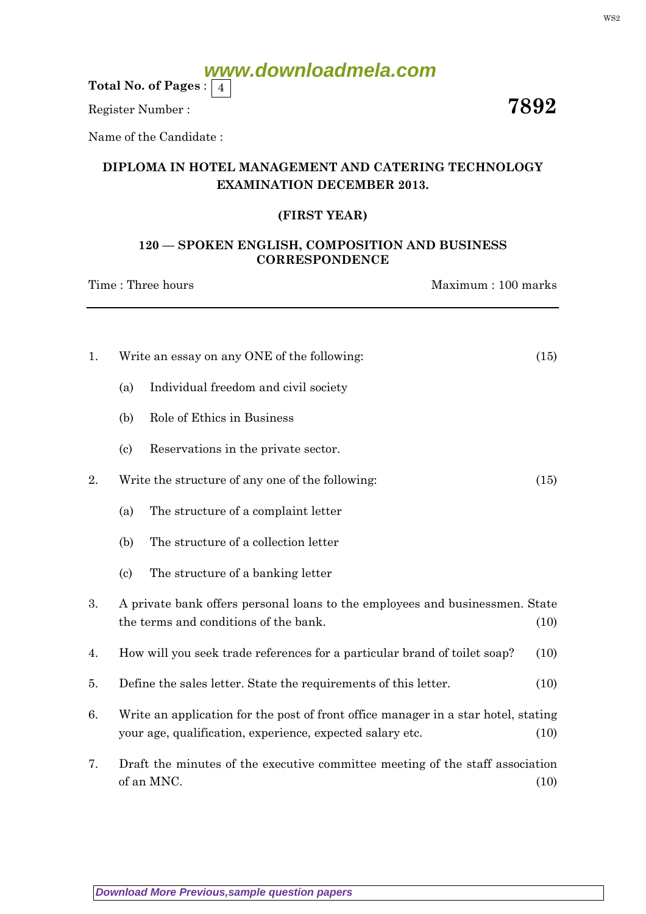Total No. of Pages :  $\mid 4$ 

Register Number :  $\overline{7892}$ 

Name of the Candidate :

### DIPLOMA IN HOTEL MANAGEMENT AND CATERING TECHNOLOGY EXAMINATION DECEMBER 2013.

### (FIRST YEAR)

### 120 — SPOKEN ENGLISH, COMPOSITION AND BUSINESS **CORRESPONDENCE**

Time : Three hours Maximum : 100 marks

| 1. | Write an essay on any ONE of the following:                                                                                                             | (15) |
|----|---------------------------------------------------------------------------------------------------------------------------------------------------------|------|
|    | Individual freedom and civil society<br>(a)                                                                                                             |      |
|    | Role of Ethics in Business<br>(b)                                                                                                                       |      |
|    | $\left( \mathrm{c}\right)$<br>Reservations in the private sector.                                                                                       |      |
| 2. | Write the structure of any one of the following:                                                                                                        | (15) |
|    | The structure of a complaint letter<br>(a)                                                                                                              |      |
|    | The structure of a collection letter<br>(b)                                                                                                             |      |
|    | The structure of a banking letter<br>$\left( \text{c} \right)$                                                                                          |      |
| 3. | A private bank offers personal loans to the employees and businessmen. State<br>the terms and conditions of the bank.                                   | (10) |
| 4. | How will you seek trade references for a particular brand of toilet soap?                                                                               | (10) |
| 5. | Define the sales letter. State the requirements of this letter.                                                                                         | (10) |
| 6. | Write an application for the post of front office manager in a star hotel, stating<br>your age, qualification, experience, expected salary etc.<br>(10) |      |
| 7. | Draft the minutes of the executive committee meeting of the staff association<br>of an MNC.<br>(10)                                                     |      |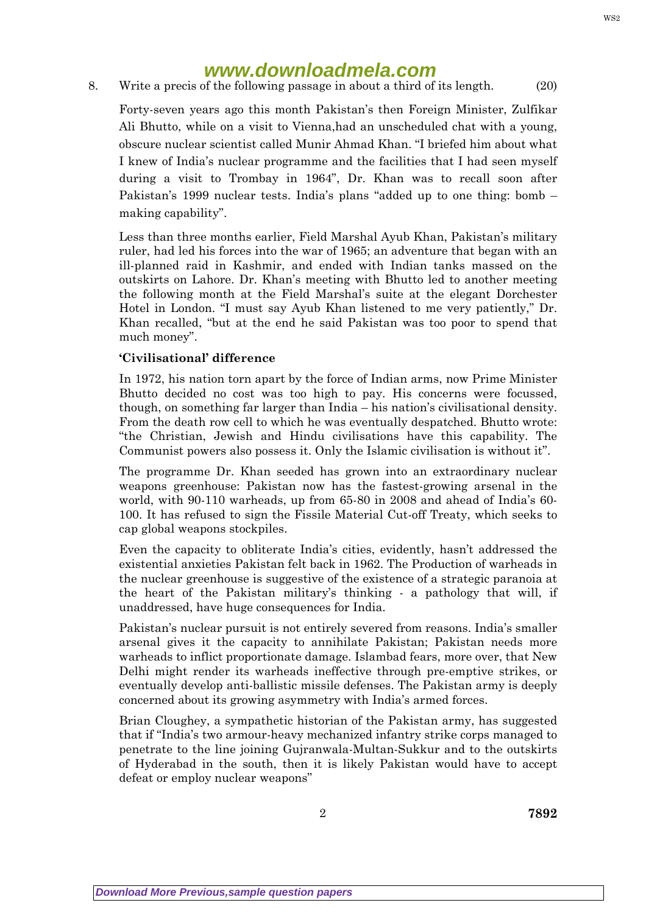8. Write a precis of the following passage in about a third of its length. (20)

Forty-seven years ago this month Pakistan's then Foreign Minister, Zulfikar Ali Bhutto, while on a visit to Vienna,had an unscheduled chat with a young, obscure nuclear scientist called Munir Ahmad Khan. "I briefed him about what I knew of India's nuclear programme and the facilities that I had seen myself during a visit to Trombay in 1964", Dr. Khan was to recall soon after Pakistan's 1999 nuclear tests. India's plans "added up to one thing: bomb – making capability".

Less than three months earlier, Field Marshal Ayub Khan, Pakistan's military ruler, had led his forces into the war of 1965; an adventure that began with an ill-planned raid in Kashmir, and ended with Indian tanks massed on the outskirts on Lahore. Dr. Khan's meeting with Bhutto led to another meeting the following month at the Field Marshal's suite at the elegant Dorchester Hotel in London. "I must say Ayub Khan listened to me very patiently," Dr. Khan recalled, "but at the end he said Pakistan was too poor to spend that much money".

### 'Civilisational' difference

In 1972, his nation torn apart by the force of Indian arms, now Prime Minister Bhutto decided no cost was too high to pay. His concerns were focussed, though, on something far larger than India – his nation's civilisational density. From the death row cell to which he was eventually despatched. Bhutto wrote: "the Christian, Jewish and Hindu civilisations have this capability. The Communist powers also possess it. Only the Islamic civilisation is without it".

The programme Dr. Khan seeded has grown into an extraordinary nuclear weapons greenhouse: Pakistan now has the fastest-growing arsenal in the world, with 90-110 warheads, up from 65-80 in 2008 and ahead of India's 60- 100. It has refused to sign the Fissile Material Cut-off Treaty, which seeks to cap global weapons stockpiles.

Even the capacity to obliterate India's cities, evidently, hasn't addressed the existential anxieties Pakistan felt back in 1962. The Production of warheads in the nuclear greenhouse is suggestive of the existence of a strategic paranoia at the heart of the Pakistan military's thinking - a pathology that will, if unaddressed, have huge consequences for India.

Pakistan's nuclear pursuit is not entirely severed from reasons. India's smaller arsenal gives it the capacity to annihilate Pakistan; Pakistan needs more warheads to inflict proportionate damage. Islambad fears, more over, that New Delhi might render its warheads ineffective through pre-emptive strikes, or eventually develop anti-ballistic missile defenses. The Pakistan army is deeply concerned about its growing asymmetry with India's armed forces.

Brian Cloughey, a sympathetic historian of the Pakistan army, has suggested that if "India's two armour-heavy mechanized infantry strike corps managed to penetrate to the line joining Gujranwala-Multan-Sukkur and to the outskirts of Hyderabad in the south, then it is likely Pakistan would have to accept defeat or employ nuclear weapons"

WS2

2 7892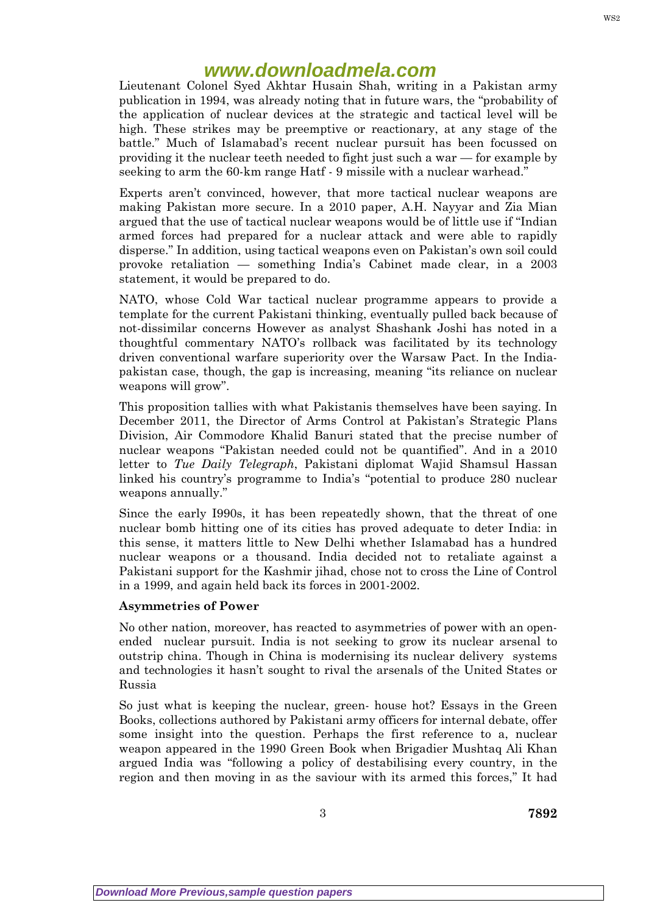Lieutenant Colonel Syed Akhtar Husain Shah, writing in a Pakistan army publication in 1994, was already noting that in future wars, the "probability of the application of nuclear devices at the strategic and tactical level will be high. These strikes may be preemptive or reactionary, at any stage of the battle." Much of Islamabad's recent nuclear pursuit has been focussed on providing it the nuclear teeth needed to fight just such a war — for example by seeking to arm the 60-km range Hatf - 9 missile with a nuclear warhead."

Experts aren't convinced, however, that more tactical nuclear weapons are making Pakistan more secure. In a 2010 paper, A.H. Nayyar and Zia Mian argued that the use of tactical nuclear weapons would be of little use if "Indian armed forces had prepared for a nuclear attack and were able to rapidly disperse." In addition, using tactical weapons even on Pakistan's own soil could provoke retaliation — something India's Cabinet made clear, in a 2003 statement, it would be prepared to do.

NATO, whose Cold War tactical nuclear programme appears to provide a template for the current Pakistani thinking, eventually pulled back because of not-dissimilar concerns However as analyst Shashank Joshi has noted in a thoughtful commentary NATO's rollback was facilitated by its technology driven conventional warfare superiority over the Warsaw Pact. In the Indiapakistan case, though, the gap is increasing, meaning "its reliance on nuclear weapons will grow".

This proposition tallies with what Pakistanis themselves have been saying. In December 2011, the Director of Arms Control at Pakistan's Strategic Plans Division, Air Commodore Khalid Banuri stated that the precise number of nuclear weapons "Pakistan needed could not be quantified". And in a 2010 letter to Tue Daily Telegraph, Pakistani diplomat Wajid Shamsul Hassan linked his country's programme to India's "potential to produce 280 nuclear weapons annually."

Since the early I990s, it has been repeatedly shown, that the threat of one nuclear bomb hitting one of its cities has proved adequate to deter India: in this sense, it matters little to New Delhi whether Islamabad has a hundred nuclear weapons or a thousand. India decided not to retaliate against a Pakistani support for the Kashmir jihad, chose not to cross the Line of Control in a 1999, and again held back its forces in 2001-2002.

#### Asymmetries of Power

No other nation, moreover, has reacted to asymmetries of power with an openended nuclear pursuit. India is not seeking to grow its nuclear arsenal to outstrip china. Though in China is modernising its nuclear delivery systems and technologies it hasn't sought to rival the arsenals of the United States or Russia

So just what is keeping the nuclear, green- house hot? Essays in the Green Books, collections authored by Pakistani army officers for internal debate, offer some insight into the question. Perhaps the first reference to a, nuclear weapon appeared in the 1990 Green Book when Brigadier Mushtaq Ali Khan argued India was "following a policy of destabilising every country, in the region and then moving in as the saviour with its armed this forces," It had